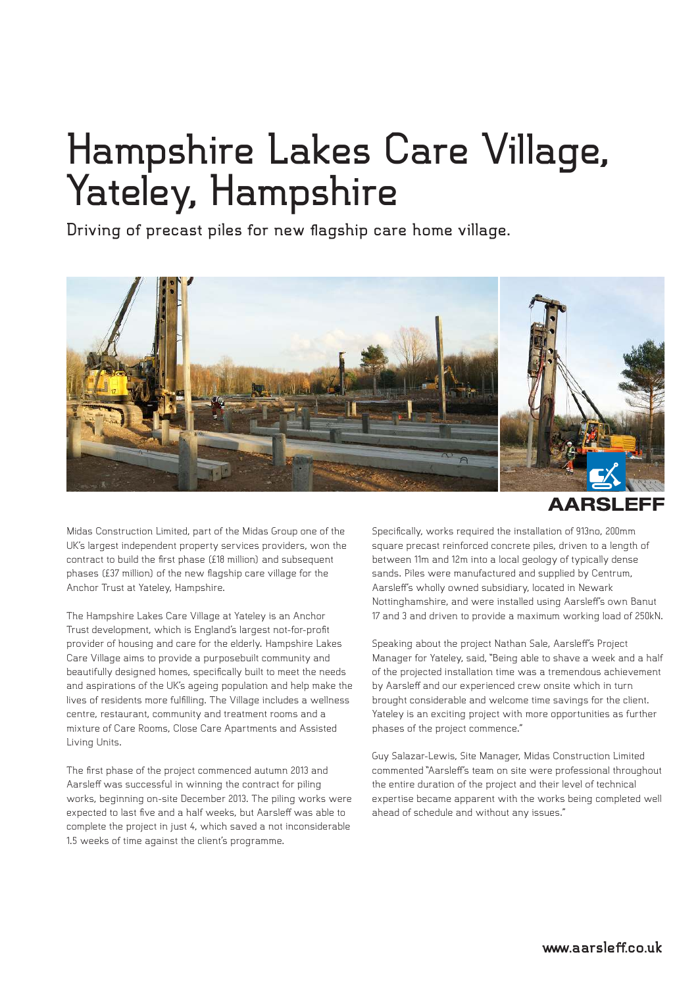## **Hampshire Lakes Care Village, Yateley, Hampshire**

**Driving of precast piles for new flagship care home village.**



**AARSLEFF** 

Midas Construction Limited, part of the Midas Group one of the UK's largest independent property services providers, won the contract to build the first phase (£18 million) and subsequent phases (£37 million) of the new flagship care village for the Anchor Trust at Yateley, Hampshire.

The Hampshire Lakes Care Village at Yateley is an Anchor Trust development, which is England's largest not-for-profit provider of housing and care for the elderly. Hampshire Lakes Care Village aims to provide a purposebuilt community and beautifully designed homes, specifically built to meet the needs and aspirations of the UK's ageing population and help make the lives of residents more fulfilling. The Village includes a wellness centre, restaurant, community and treatment rooms and a mixture of Care Rooms, Close Care Apartments and Assisted Living Units.

The first phase of the project commenced autumn 2013 and Aarsleff was successful in winning the contract for piling works, beginning on-site December 2013. The piling works were expected to last five and a half weeks, but Aarsleff was able to complete the project in just 4, which saved a not inconsiderable 1.5 weeks of time against the client's programme.

Specifically, works required the installation of 913no, 200mm square precast reinforced concrete piles, driven to a length of between 11m and 12m into a local geology of typically dense sands. Piles were manufactured and supplied by Centrum, Aarsleff's wholly owned subsidiary, located in Newark Nottinghamshire, and were installed using Aarsleff's own Banut 17 and 3 and driven to provide a maximum working load of 250kN.

Speaking about the project Nathan Sale, Aarsleff's Project Manager for Yateley, said, "Being able to shave a week and a half of the projected installation time was a tremendous achievement by Aarsleff and our experienced crew onsite which in turn brought considerable and welcome time savings for the client. Yateley is an exciting project with more opportunities as further phases of the project commence."

Guy Salazar-Lewis, Site Manager, Midas Construction Limited commented "Aarsleff's team on site were professional throughout the entire duration of the project and their level of technical expertise became apparent with the works being completed well ahead of schedule and without any issues."